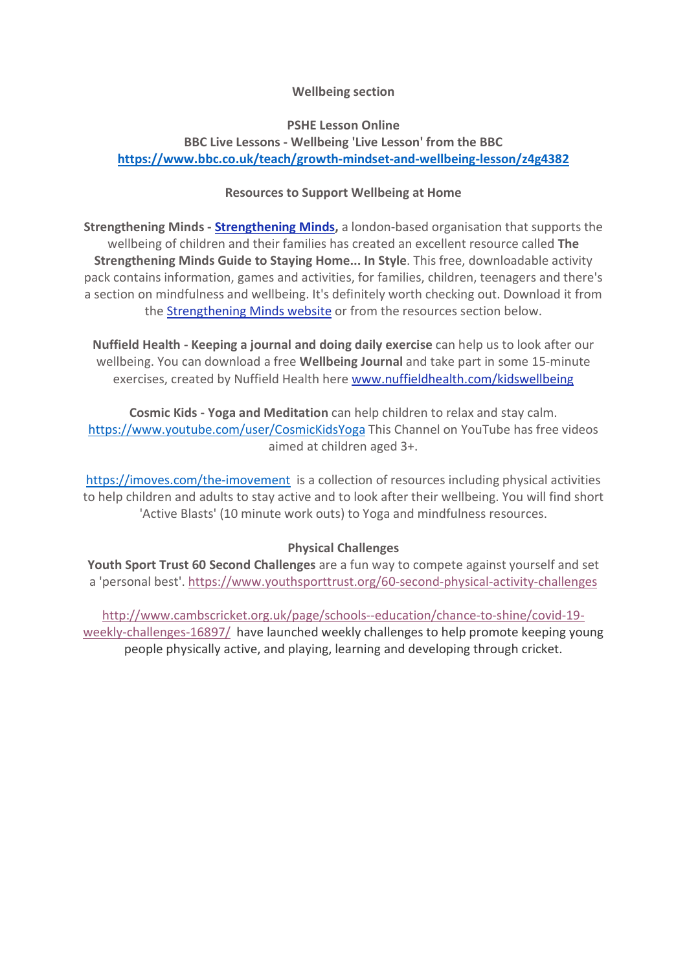#### Wellbeing section

### PSHE Lesson Online

# BBC Live Lessons - Wellbeing 'Live Lesson' from the BBC https://www.bbc.co.uk/teach/growth-mindset-and-wellbeing-lesson/z4g4382

#### Resources to Support Wellbeing at Home

**Strengthening Minds - Strengthening Minds, a london-based organisation that supports the** wellbeing of children and their families has created an excellent resource called The Strengthening Minds Guide to Staying Home... In Style. This free, downloadable activity pack contains information, games and activities, for families, children, teenagers and there's a section on mindfulness and wellbeing. It's definitely worth checking out. Download it from the Strengthening Minds website or from the resources section below.

Nuffield Health - Keeping a journal and doing daily exercise can help us to look after our wellbeing. You can download a free **Wellbeing Journal** and take part in some 15-minute exercises, created by Nuffield Health here www.nuffieldhealth.com/kidswellbeing

Cosmic Kids - Yoga and Meditation can help children to relax and stay calm. https://www.youtube.com/user/CosmicKidsYoga This Channel on YouTube has free videos aimed at children aged 3+.

https://imoves.com/the-imovement is a collection of resources including physical activities to help children and adults to stay active and to look after their wellbeing. You will find short 'Active Blasts' (10 minute work outs) to Yoga and mindfulness resources.

## Physical Challenges

Youth Sport Trust 60 Second Challenges are a fun way to compete against yourself and set a 'personal best'. https://www.youthsporttrust.org/60-second-physical-activity-challenges

http://www.cambscricket.org.uk/page/schools--education/chance-to-shine/covid-19 weekly-challenges-16897/ have launched weekly challenges to help promote keeping young people physically active, and playing, learning and developing through cricket.